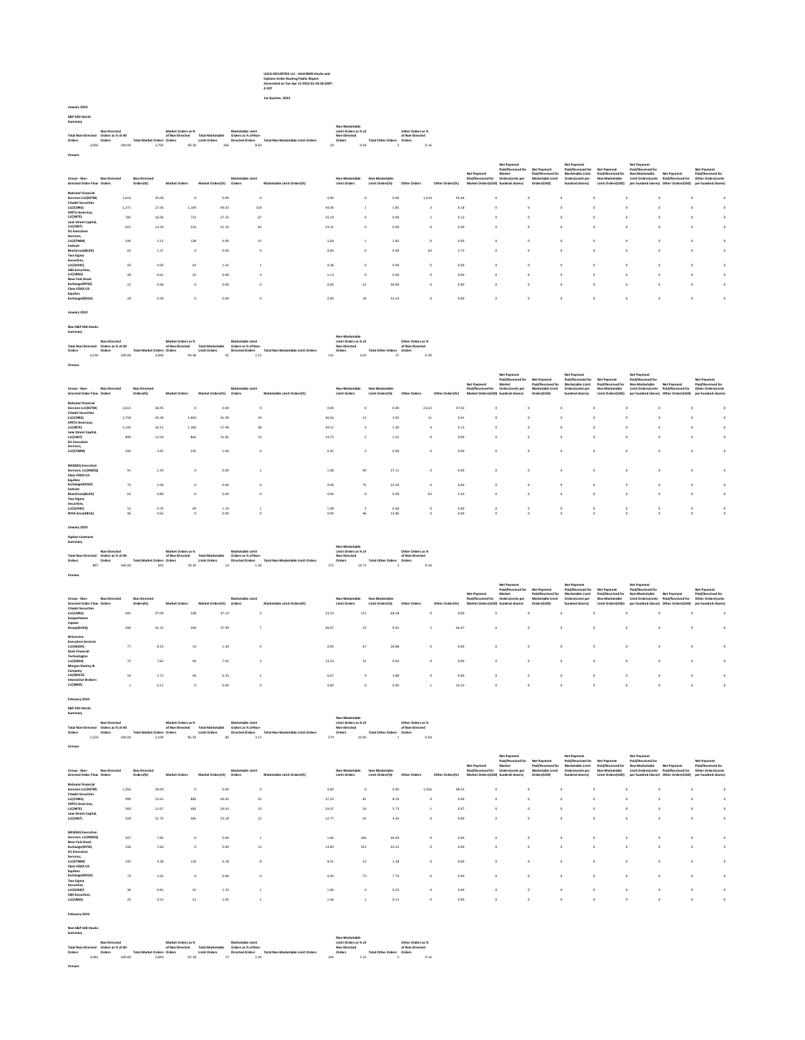# USCA SECURITIES LLC - Held NMS Stocks and Options Order Routing Public Report Generated on Tue Apr 12 2022 01:54:28 GMT-4 EDT 1st Quarter, 2022

January 2022 S&P 500 Stocks Summary

## Total Non-Directed Orders Non-Directed Orders as % of All Orders Total Market Orders Market Orders as % of Non-Directed Orders Total Marketable Limit Orders Marketable Limit Orders as % of Non-Directed Orders Total Non-Marketable Limit Orders Non-Marketable Mon-Diders as % of Non-Orders as % on-Marketable Limit<br>2016 - Non-Directed Orders as % of Non-Directed Total Non-Directed Defensive Defended Non-Directed Defensive<br>3,093 100.00 2,793 90.30 366 8.660 2.60 2.6

| Venue - Non-<br>directed Order Flow Orders | Non-Directed | Non-Directed<br>Orders(%) | <b>Market Orders</b> | Market Orders(%) | Marketable Limit<br>Orders | Marketable Limit Orders(%) | Non-Marketable<br><b>Limit Orders</b> | Non-Marketable<br>Limit Orders/%) | Other Orders | Other Orders(%) | Net Payment<br>Paid/Received for | Net Payment<br>Paid/Received for<br>Market<br>Orders(cents per<br>Market Orders(USD) hundred shares) | Net Payment<br>Paid/Received for<br>Marketable Limit<br>Orders(USD) | <b>Net Payment</b><br>Paid/Received for<br>Marketable Limit<br>Orders(cents per<br>hundred shares) | Net Payment<br>Paid/Received for<br>Non-Marketable<br>Limit Orders(USD) | Net Payment<br>Paid/Received for<br>Non-Marketable<br>Limit Orders/cents | <b>Net Payment</b><br>Paid/Received for<br>per hundred shares) Other Orders(USD) | Net Payment<br>Paid/Received for<br><b>Other Ordersfcents</b><br>per hundred shares) |  |
|--------------------------------------------|--------------|---------------------------|----------------------|------------------|----------------------------|----------------------------|---------------------------------------|-----------------------------------|--------------|-----------------|----------------------------------|------------------------------------------------------------------------------------------------------|---------------------------------------------------------------------|----------------------------------------------------------------------------------------------------|-------------------------------------------------------------------------|--------------------------------------------------------------------------|----------------------------------------------------------------------------------|--------------------------------------------------------------------------------------|--|
| <b>National Financial</b>                  |              |                           |                      |                  |                            |                            |                                       |                                   |              |                 |                                  |                                                                                                      |                                                                     |                                                                                                    |                                                                         |                                                                          |                                                                                  |                                                                                      |  |
| Services LLCD(STM)                         | 1,614        |                           | 35.00                | $^{\circ}$       | 0.00                       |                            | 0.00                                  |                                   | 0.00         | 1,614           | 95.96                            | $\circ$                                                                                              |                                                                     |                                                                                                    |                                                                         |                                                                          |                                                                                  |                                                                                      |  |
| <b>Citadel Securities</b><br>LLC(CDRG)     | 1,271        |                           | 27.56                | 1,149            | 44.02                      | 118                        | 44.36                                 |                                   | 1.85         |                 | 0.18                             | $\circ$                                                                                              |                                                                     |                                                                                                    |                                                                         |                                                                          |                                                                                  |                                                                                      |  |
| <b>VIRTU Americas</b>                      |              |                           |                      |                  |                            |                            |                                       |                                   |              |                 |                                  |                                                                                                      |                                                                     |                                                                                                    |                                                                         |                                                                          |                                                                                  |                                                                                      |  |
| LLC(NITE)                                  | 782          |                           | 16.96                | 713              | 27.32                      | 67                         | 25.19                                 |                                   | 0.00         |                 | 0.12                             | $\circ$                                                                                              |                                                                     |                                                                                                    |                                                                         |                                                                          |                                                                                  |                                                                                      |  |
| Jane Street Capital,                       |              |                           |                      |                  |                            |                            |                                       |                                   |              |                 |                                  |                                                                                                      |                                                                     |                                                                                                    |                                                                         |                                                                          |                                                                                  |                                                                                      |  |
| LLC(JNST)                                  | 615          | 13.33                     |                      | 553              | 21.19                      | 62                         | 23.31                                 |                                   | 0.00         |                 | 0.00                             | $\Omega$                                                                                             |                                                                     |                                                                                                    | $\Delta$                                                                |                                                                          |                                                                                  |                                                                                      |  |
| G1 Execution<br>Services,                  |              |                           |                      |                  |                            |                            |                                       |                                   |              |                 |                                  |                                                                                                      |                                                                     |                                                                                                    |                                                                         |                                                                          |                                                                                  |                                                                                      |  |
| LLC(ETMM)                                  | 144          |                           | 3.12                 | 128              | 4.90                       | 15                         | 5.64                                  |                                   | 1.85         | $\Omega$        | 0.00                             | $\Omega$                                                                                             |                                                                     |                                                                                                    |                                                                         |                                                                          |                                                                                  |                                                                                      |  |
| Instinet                                   |              |                           |                      |                  |                            |                            |                                       |                                   |              |                 |                                  |                                                                                                      |                                                                     |                                                                                                    |                                                                         |                                                                          |                                                                                  |                                                                                      |  |
| BlockCross(BLKX)                           | 63           |                           | 1.37                 | $\theta$         | 0.00                       |                            | 0.00                                  |                                   | 0.00         | 63              | 3.75                             | $\Omega$                                                                                             |                                                                     |                                                                                                    |                                                                         |                                                                          |                                                                                  |                                                                                      |  |
| <b>Two Sigma</b><br>Securities.            |              |                           |                      |                  |                            |                            |                                       |                                   |              |                 |                                  |                                                                                                      |                                                                     |                                                                                                    |                                                                         |                                                                          |                                                                                  |                                                                                      |  |
| LLC(SOHO)                                  | 43           |                           | 0.93                 | 42               | 1.61                       |                            | 0.38                                  |                                   | 0.00         | $\Omega$        | 0.00                             | $\Omega$                                                                                             |                                                                     |                                                                                                    |                                                                         |                                                                          |                                                                                  |                                                                                      |  |
| <b>UBS Securities</b>                      |              |                           |                      |                  |                            |                            |                                       |                                   |              |                 |                                  |                                                                                                      |                                                                     |                                                                                                    |                                                                         |                                                                          |                                                                                  |                                                                                      |  |
| LLC(UBSS)                                  | 28           |                           | 0.61                 | 25               | 0.96                       |                            | 1.13                                  |                                   | 0.00         | $\Omega$        | 0.00                             | $\Omega$                                                                                             |                                                                     |                                                                                                    |                                                                         |                                                                          |                                                                                  |                                                                                      |  |
| <b>New York Stock</b>                      |              |                           |                      |                  |                            |                            |                                       |                                   |              |                 |                                  |                                                                                                      |                                                                     |                                                                                                    |                                                                         |                                                                          |                                                                                  |                                                                                      |  |
| Exchange(NYSE)<br>Choe EDGX US             | 21           |                           | 0.46                 | $\Omega$         | 0.00                       |                            | 0.00                                  | 21                                | 38.89        | $\Omega$        | 0.00                             | $\Omega$                                                                                             |                                                                     | $\sim$                                                                                             | $\Delta$                                                                |                                                                          |                                                                                  |                                                                                      |  |
| Equities                                   |              |                           |                      |                  |                            |                            |                                       |                                   |              |                 |                                  |                                                                                                      |                                                                     |                                                                                                    |                                                                         |                                                                          |                                                                                  |                                                                                      |  |
| Exchange(EDGX)                             | 18           |                           | 0.39                 |                  | 0.00                       |                            | 0.00                                  | 18                                | 33.33        | $\Omega$        | 0.00                             | $\Omega$                                                                                             |                                                                     |                                                                                                    |                                                                         |                                                                          |                                                                                  |                                                                                      |  |
|                                            |              |                           |                      |                  |                            |                            |                                       |                                   |              |                 |                                  |                                                                                                      |                                                                     |                                                                                                    |                                                                         |                                                                          |                                                                                  |                                                                                      |  |

### January 2022

Non-S&P 500 Stocks Summary

Venues

|                    |                    |        |                                   |                    |                         |                     |                                   | Non-Marketable       |                           |                   |      |
|--------------------|--------------------|--------|-----------------------------------|--------------------|-------------------------|---------------------|-----------------------------------|----------------------|---------------------------|-------------------|------|
|                    | Non-Directed       |        |                                   | Market Onlars as % |                         | Marketable Limit    |                                   | Limit Orders as % of |                           | Other Orders as % |      |
| Total Non-Directed | Orders as % of All |        |                                   | of Non-Directed    | <b>Total Marketable</b> | Orders as % of Non- |                                   | Non-Directed         |                           | of Non-Directed   |      |
| Orders             | Orders             |        | <b>Total Market Orders Orders</b> |                    | <b>Limit Orders</b>     | Directed Onlers     | Total Non-Marketable Limit Orders | Orders               | <b>Total Other Orders</b> | Orders            |      |
| 4.330              |                    | 100.00 | 4.090                             | 94.46              | 92                      | 2.12                | 131                               | 3.03                 |                           |                   | 0.39 |
|                    |                    |        |                                   |                    |                         |                     |                                   |                      |                           |                   |      |

|           | Non-Directed<br>Venue - Non-<br>directed Order Flow Orders     | Non-Directed<br>Orders(%) | <b>Market Orders</b> | Market Orders(%) | Marketable Limit<br>Orders | Marketable Limit Orders(%) |       | Non-Marketable<br><b>Limit Orders</b> | Non-Marketable<br>Limit Orders(%) | Other Orders |       | Other Orders(%) | Net Payment<br>Paid/Received for<br>Market Orders(USD) hundred shares) | Net Payment<br>Paid/Received for<br>Market<br>Orders(cents per | Net Payment<br>Paid/Received for<br>Marketable Limit<br>Orders(USD) | <b>Net Payment</b><br>Paid/Received for<br>Marketable Limit<br>Orders(cents per<br>hundred shares) | Net Payment<br>Paid/Received for<br>Non-Marketable<br>Limit Orders(USD) | Net Payment<br>Paid/Received for<br>Non-Marketable<br>Limit Orders/cents | <b>Net Payment</b><br>Paid/Received for<br>per hundred shares) Other Orders(USD) | Net Payment<br>Paid/Received for<br><b>Other Ordersfcents</b><br>per hundred shares) |  |
|-----------|----------------------------------------------------------------|---------------------------|----------------------|------------------|----------------------------|----------------------------|-------|---------------------------------------|-----------------------------------|--------------|-------|-----------------|------------------------------------------------------------------------|----------------------------------------------------------------|---------------------------------------------------------------------|----------------------------------------------------------------------------------------------------|-------------------------------------------------------------------------|--------------------------------------------------------------------------|----------------------------------------------------------------------------------|--------------------------------------------------------------------------------------|--|
|           | <b>National Financial</b><br>Services LLCD(STM)                | 2,613                     | 36.95                |                  | 0.00                       |                            | 0.00  |                                       |                                   | 0.00         | 2,613 | 97.03           |                                                                        |                                                                |                                                                     | $\circ$                                                                                            |                                                                         | $\Omega$                                                                 |                                                                                  |                                                                                      |  |
|           | <b>Citadel Securities</b>                                      |                           |                      |                  |                            |                            |       |                                       |                                   |              |       |                 |                                                                        |                                                                |                                                                     |                                                                                                    |                                                                         |                                                                          |                                                                                  |                                                                                      |  |
| LLC(CDRG) |                                                                | 1.718                     | 24.30                | 1,660            | 41.99                      | 34                         | 36.56 |                                       | 13                                | 3.92         | 11    | 0.41            | $\Omega$                                                               |                                                                |                                                                     | $\circ$                                                                                            | $\theta$                                                                | $\Omega$                                                                 |                                                                                  |                                                                                      |  |
|           | VIRTU Americas.                                                |                           |                      |                  |                            |                            |       |                                       |                                   |              |       |                 |                                                                        |                                                                |                                                                     |                                                                                                    |                                                                         |                                                                          |                                                                                  |                                                                                      |  |
| LLC(NITE) |                                                                | 1.142                     | 16.15                | 1,106            | 27.98                      | 28                         | 30.11 |                                       |                                   | 1.20         |       | 0.15            | $\Omega$                                                               |                                                                | $\Omega$                                                            | $\circ$                                                                                            |                                                                         | $\Omega$                                                                 | f.                                                                               |                                                                                      |  |
|           | Jane Street Capital,                                           |                           |                      |                  |                            |                            |       |                                       |                                   |              |       |                 |                                                                        |                                                                |                                                                     |                                                                                                    |                                                                         |                                                                          |                                                                                  |                                                                                      |  |
| LLC(JNST) |                                                                | 890                       | 12.59                | 862              | 21.81                      | 23                         | 24.73 |                                       |                                   | 1.51         |       | 0.00            |                                                                        |                                                                |                                                                     | $\Omega$                                                                                           |                                                                         | $\Omega$                                                                 |                                                                                  |                                                                                      |  |
| Services, | G1 Execution<br>LLC(ETMM)                                      | 244                       | 3.45                 | 235              | 5.94                       |                            | 6.45  |                                       |                                   | 0.90         |       | 0.00            |                                                                        |                                                                |                                                                     | $\Omega$                                                                                           |                                                                         |                                                                          |                                                                                  |                                                                                      |  |
| Equities  | <b>NASDAO</b> Execution<br>Services, LLC(NSDQ)<br>Choe EDGX US | 91                        | 1.29                 |                  | 0.00                       |                            | 1.08  |                                       | 90                                | 27.11        |       | 0.00            |                                                                        |                                                                |                                                                     | $\Omega$                                                                                           |                                                                         | $\sim$                                                                   |                                                                                  |                                                                                      |  |
|           | Exchange(EDGX)                                                 | 75                        | 1.06                 |                  | 0.00                       |                            | 0.00  |                                       | 75                                | 22.59        |       | 0.00            |                                                                        |                                                                |                                                                     | $\Omega$                                                                                           |                                                                         | $\Omega$                                                                 |                                                                                  |                                                                                      |  |
| Instinet  | BlockCross(BLKX)<br><b>Two Sigma</b>                           | 63                        | 0.89                 |                  | 0.00                       |                            | 0.00  |                                       |                                   | 0.00         | 63    | 2.34            |                                                                        |                                                                |                                                                     | $\Omega$                                                                                           | $\theta$                                                                | $\Omega$                                                                 |                                                                                  |                                                                                      |  |
|           | Securities.                                                    |                           |                      |                  |                            |                            |       |                                       |                                   |              |       |                 |                                                                        |                                                                |                                                                     |                                                                                                    |                                                                         |                                                                          |                                                                                  |                                                                                      |  |
|           | LLC(SOHO)                                                      | 52                        | 0.74                 | 49               | 1.24                       |                            | 1.08  |                                       |                                   | 0.60         |       | 0.00            |                                                                        |                                                                |                                                                     | $\circ$                                                                                            |                                                                         |                                                                          |                                                                                  |                                                                                      |  |
|           | NYSE Arca(ARCA)                                                | 46                        | 0.65                 |                  | 0.00                       |                            | 0.00  |                                       |                                   | 13.86        |       | 0.00            |                                                                        |                                                                |                                                                     |                                                                                                    |                                                                         |                                                                          |                                                                                  |                                                                                      |  |

## January 2022 Option Contracts Summary

| Summary                   |                    |                            |                    |                         |                     |                                   |                      |                           |                   |      |
|---------------------------|--------------------|----------------------------|--------------------|-------------------------|---------------------|-----------------------------------|----------------------|---------------------------|-------------------|------|
|                           |                    |                            |                    |                         |                     |                                   | Non-Marketable       |                           |                   |      |
|                           | Non-Directed       |                            | Market Orders as % |                         | Marketable Limit    |                                   | Limit Orders as % of |                           | Other Orders as % |      |
| <b>Total Non-Directed</b> | Orders as % of All |                            | of Non-Directed    | <b>Total Marketable</b> | Orders as % of Non- |                                   | Non-Directed         |                           | of Non-Directed   |      |
| Orders                    | Orders             | Total Market Orders Orders |                    | <b>Limit Orders</b>     | Directed Onlers     | Total Non-Marketable Limit Orders | Orders               | <b>Total Other Orders</b> | Orders            |      |
|                           |                    | 695                        |                    |                         | 1.58                |                                   | 175                  |                           |                   | 0.34 |
| 887                       | 100.00             |                            | 78.35              |                         |                     |                                   |                      | 19.73                     |                   |      |

Venues

| Venue - Non-<br>directed Order Flow Orders<br><b>Citadel Securities</b> | Non-Directed | Non-Directed<br>Orders(%) | <b>Market Orders</b> | Market Orders(%) | Marketable Limit<br>Orders | Marketable Limit Orders(%) | Non-Marketable<br><b>Limit Orders</b> | Non-Marketable<br>Limit Orders(%) | Other Orders | Other Orders(%) | <b>Net Payment</b><br>Paid/Received for | Net Payment<br>Paid/Received for<br>Market<br>Orders(cents per<br>Market Orders(USD) hundred shares) | Net Payment<br>Paid/Received for<br>Marketable Limit<br>Orders(USD) | Net Payment<br>Paid/Received for<br>Marketable Limit<br>Orders(cents per<br>hundred shares) | <b>Net Payment</b><br>Paid/Received for<br>Non-Marketable<br>Limit Orders(USD) | Net Payment<br>Paid/Received for<br>Non-Marketable | <b>Net Payment</b><br>Limit Orders/cents Paid/Received for<br>per hundred shares) Other Orders(USD) | Net Payment<br>Paid/Received for<br>Other Ordersfcents<br>per hundred shares) |  |
|-------------------------------------------------------------------------|--------------|---------------------------|----------------------|------------------|----------------------------|----------------------------|---------------------------------------|-----------------------------------|--------------|-----------------|-----------------------------------------|------------------------------------------------------------------------------------------------------|---------------------------------------------------------------------|---------------------------------------------------------------------------------------------|--------------------------------------------------------------------------------|----------------------------------------------------|-----------------------------------------------------------------------------------------------------|-------------------------------------------------------------------------------|--|
| LLC(CDRG)                                                               |              | 445                       | 47.09                | 328              | 47.19                      |                            | 33.33                                 | 112                               | 48.28        | $\circ$         | 0.00                                    |                                                                                                      | ۰                                                                   |                                                                                             |                                                                                |                                                    |                                                                                                     |                                                                               |  |
| Susquehanna                                                             |              |                           |                      |                  |                            |                            |                                       |                                   |              |                 |                                         |                                                                                                      |                                                                     |                                                                                             |                                                                                |                                                    |                                                                                                     |                                                                               |  |
| Capital<br>Group(SUSQ)                                                  |              | 296                       | 31.32                | 264              | 37.99                      |                            | 46.67                                 | 23                                | 9.91         |                 | 66.67                                   | $\circ$                                                                                              | $\circ$                                                             |                                                                                             |                                                                                | $\Omega$                                           |                                                                                                     |                                                                               |  |
|                                                                         |              |                           |                      |                  |                            |                            |                                       |                                   |              |                 |                                         |                                                                                                      |                                                                     |                                                                                             |                                                                                |                                                    |                                                                                                     |                                                                               |  |
| Wolverine                                                               |              |                           |                      |                  |                            |                            |                                       |                                   |              |                 |                                         |                                                                                                      |                                                                     |                                                                                             |                                                                                |                                                    |                                                                                                     |                                                                               |  |
| <b>Execution Services</b><br>LLC(WEXX)                                  |              | 77                        | 8.15                 | 10               | 1.44                       | $\circ$                    | 0.00                                  | 67                                | 28.88        | $\Omega$        | 0.00                                    |                                                                                                      | $\Omega$                                                            |                                                                                             |                                                                                | $\Omega$                                           |                                                                                                     |                                                                               |  |
| <b>Dash Financial</b>                                                   |              |                           |                      |                  |                            |                            |                                       |                                   |              |                 |                                         |                                                                                                      |                                                                     |                                                                                             |                                                                                |                                                    |                                                                                                     |                                                                               |  |
| <b>Technologies</b>                                                     |              | $72^{\circ}$              | 7.62                 | 49               | 7.05                       |                            |                                       | 21                                |              | $\Omega$        |                                         |                                                                                                      | $\Omega$                                                            |                                                                                             |                                                                                | $\Omega$                                           |                                                                                                     |                                                                               |  |
| LLC(DASH)<br>Morgan Stanley &                                           |              |                           |                      |                  |                            |                            | 13.33                                 |                                   | 9.05         |                 | 0.00                                    |                                                                                                      |                                                                     |                                                                                             |                                                                                |                                                    |                                                                                                     |                                                                               |  |
| Company                                                                 |              |                           |                      |                  |                            |                            |                                       |                                   |              |                 |                                         |                                                                                                      |                                                                     |                                                                                             |                                                                                |                                                    |                                                                                                     |                                                                               |  |
| LLC(MSCO)                                                               |              | 54                        | 5.71                 | 44               | 6.33                       |                            | 6.67                                  |                                   | 3.88         | $\Omega$        | 0.00                                    |                                                                                                      | n.                                                                  |                                                                                             |                                                                                | $\Omega$                                           |                                                                                                     |                                                                               |  |
| <b>Interactive Brokers</b><br>LLC(IBKR)                                 |              |                           | 0.11                 |                  | 0.00                       | $\circ$                    | 0.00                                  |                                   | 0.00         |                 | 33.33                                   |                                                                                                      | $\Omega$                                                            |                                                                                             |                                                                                |                                                    |                                                                                                     |                                                                               |  |
|                                                                         |              |                           |                      |                  |                            |                            |                                       |                                   |              |                 |                                         |                                                                                                      |                                                                     |                                                                                             |                                                                                |                                                    |                                                                                                     |                                                                               |  |

#### February 2022

| S&P 500 Stocks<br>Summary |       |                    |        |                            |       |                    |                         |    |                     |      |                                   |     |                      |       |                    |                   |      |
|---------------------------|-------|--------------------|--------|----------------------------|-------|--------------------|-------------------------|----|---------------------|------|-----------------------------------|-----|----------------------|-------|--------------------|-------------------|------|
|                           |       |                    |        |                            |       |                    |                         |    |                     |      |                                   |     | Non-Marketable       |       |                    |                   |      |
|                           |       | Non-Directed       |        |                            |       | Market Orders as % |                         |    | Marketable Limit    |      |                                   |     | Limit Orders as % of |       |                    | Other Orders as % |      |
| Total Non-Directed        |       | Orders as % of All |        |                            |       | of Non-Directed    | <b>Total Marketable</b> |    | Orders as % of Non- |      |                                   |     | Non-Directed         |       |                    | of Non-Directed   |      |
| Orders                    |       | Orders             |        | Total Market Orders Orders |       |                    | Limit Orders            |    | Directed Onlers     |      | Total Non-Marketable Limit Orders |     | Orders               |       | Total Other Orders | Orders            |      |
|                           | 2.559 |                    | 100.00 |                            | 2.199 | 85.93              |                         | 80 |                     | 3.13 |                                   | 279 |                      | 10.90 |                    |                   | 0.04 |

Venues

| Venue - Non-                                                                          | Non-Directed<br>directed Order Flow Orders                                                                              | Non-Directed<br>Orders(%)  | <b>Market Orders</b>             | Market Orders(%)                | Marketable Limit<br>Orders      | Marketable Limit Orders(%) | Non-Marketable<br><b>Limit Orders</b> |                              | Non-Marketable<br>Limit Orders(%) | Other Orders | Other Orders(%) | Net Payment<br>Paid/Received for | Net Payment<br>Paid/Received for<br>Market<br>Orders(cents per<br>Market Orders(USD) hundred shares) | Net Payment<br>Paid/Received for<br>Marketable Limit<br>Orders(USD) | <b>Net Payment</b><br>Paid/Received for<br>Marketable Limit<br>Orders(cents per<br>hundred shares) | Net Payment<br>Paid/Received for<br>Non-Marketable<br>Limit Orders(USD) | <b>Net Payment</b><br>Paid/Received for<br>Non-Marketable<br>Limit Orders/cents<br>per hundred shares) Other Orders(USD) | <b>Net Payment</b><br>Paid/Received for | Net Payment<br>Paid/Received for<br>Other Orders(cents<br>per hundred shares) |          |
|---------------------------------------------------------------------------------------|-------------------------------------------------------------------------------------------------------------------------|----------------------------|----------------------------------|---------------------------------|---------------------------------|----------------------------|---------------------------------------|------------------------------|-----------------------------------|--------------|-----------------|----------------------------------|------------------------------------------------------------------------------------------------------|---------------------------------------------------------------------|----------------------------------------------------------------------------------------------------|-------------------------------------------------------------------------|--------------------------------------------------------------------------------------------------------------------------|-----------------------------------------|-------------------------------------------------------------------------------|----------|
| LLC(CDRG)<br>LLC(NITE)<br><b>LLCUNST)</b>                                             | <b>National Financial</b><br>Services LLC(XSTM)<br><b>Citadel Securities</b><br>VIRTU Americas.<br>Jane Street Capital. | 1.356<br>999<br>560<br>518 | 30.69<br>22.61<br>12.67<br>11.72 | $^{\circ}$<br>883<br>482<br>465 | 0.00<br>44.02<br>24.03<br>23.18 | $\circ$<br>35<br>23<br>12  | 0.00<br>37.23<br>24.47<br>12.77       | $^{\circ}$<br>81<br>54<br>41 | 0.00<br>8.59<br>5.73<br>4.35      |              | 1,356           | 98.55<br>0.00<br>0.07<br>0.00    | $\circ$<br>$\Omega$<br>$\Omega$<br>$\Omega$                                                          |                                                                     | $\circ$<br>$\Omega$<br>o<br>$\Omega$<br>$\Omega$<br>$\Omega$                                       |                                                                         | $\Omega$<br>$\Omega$                                                                                                     | f.<br>£.                                |                                                                               |          |
| G1 Execution<br>Services.                                                             | <b>NASDAO</b> Execution<br>Services, LLC(NSDQ)<br>New York Stock<br>Exchange(NYSE)                                      | 347<br>336                 | 7.85<br>7.60                     | $\circ$<br>$\circ$              | 0.00<br>0.00                    | 13                         | 1.06<br>13.83                         | 346<br>323                   | 36.69<br>34.25                    |              |                 | 0.00<br>0.00                     | $\Omega$<br>$\Omega$                                                                                 |                                                                     | $\Omega$<br>$\Omega$<br>$\theta$                                                                   | $\Omega$                                                                |                                                                                                                          | £.                                      |                                                                               |          |
| LLC(ETMM)<br>Choe EDGX US<br>Equities<br><b>Two Sigma</b><br>Securities.<br>LLC(SOHO) | Exchange(EDGX)                                                                                                          | 145<br>73<br>36            | 3.28<br>1.65<br>0.81             | 124<br>$\Omega$<br>31           | 6.18<br>0.00<br>1.55            | $\Omega$                   | 8.51<br>0.00<br>1.06                  | 13<br>73                     | 1.38<br>7.74<br>0.42              |              |                 | 0.00<br>0.00<br>0.00             | $\Omega$<br>$\Omega$<br>$\Omega$                                                                     |                                                                     | $\Omega$<br>$\Omega$<br>$\Omega$                                                                   |                                                                         |                                                                                                                          |                                         |                                                                               |          |
| <b>UBS</b> Securities,<br>LLC(UBSS)<br>February 2022                                  |                                                                                                                         | 23                         | 0.52                             | 21                              | 1.05                            |                            | 1.06                                  |                              | 0.11                              |              |                 | 0.00                             | $\Omega$                                                                                             |                                                                     | o<br>$\Omega$                                                                                      |                                                                         | $\Delta$                                                                                                                 | ø.                                      |                                                                               | $\Delta$ |

Non-S&P 500 Stocks

Venues

| Summary |                                                 |              |        |                            |                    |                     |                     |      |                                   |                      |      |                    |                   |      |
|---------|-------------------------------------------------|--------------|--------|----------------------------|--------------------|---------------------|---------------------|------|-----------------------------------|----------------------|------|--------------------|-------------------|------|
|         |                                                 |              |        |                            |                    |                     |                     |      |                                   | Non-Marketable       |      |                    |                   |      |
|         |                                                 | Non-Directed |        |                            | Market Orders as % |                     | Marketable Limit    |      |                                   | Limit Orders as % of |      |                    | Other Orders as % |      |
|         | Orders as % of All<br><b>Total Non-Directed</b> |              |        |                            | of Non-Directed    | Total Marketable    | Orders as % of Non- |      |                                   | Non-Directed         |      |                    | of Non-Directed   |      |
| Orders  |                                                 | Orders       |        | Total Market Orders Orders |                    | <b>Limit Orders</b> | Directed Onlers     |      | Total Non-Marketable Limit Orders | Orders               |      | Total Other Orders | Orders            |      |
|         | 3.081                                           |              | 100.00 | 2.840                      | 92.18              | $\cdots$            |                     | 2.34 |                                   | 164                  | 5.32 |                    |                   | 0.16 |
|         |                                                 |              |        |                            |                    |                     |                     |      |                                   |                      |      |                    |                   |      |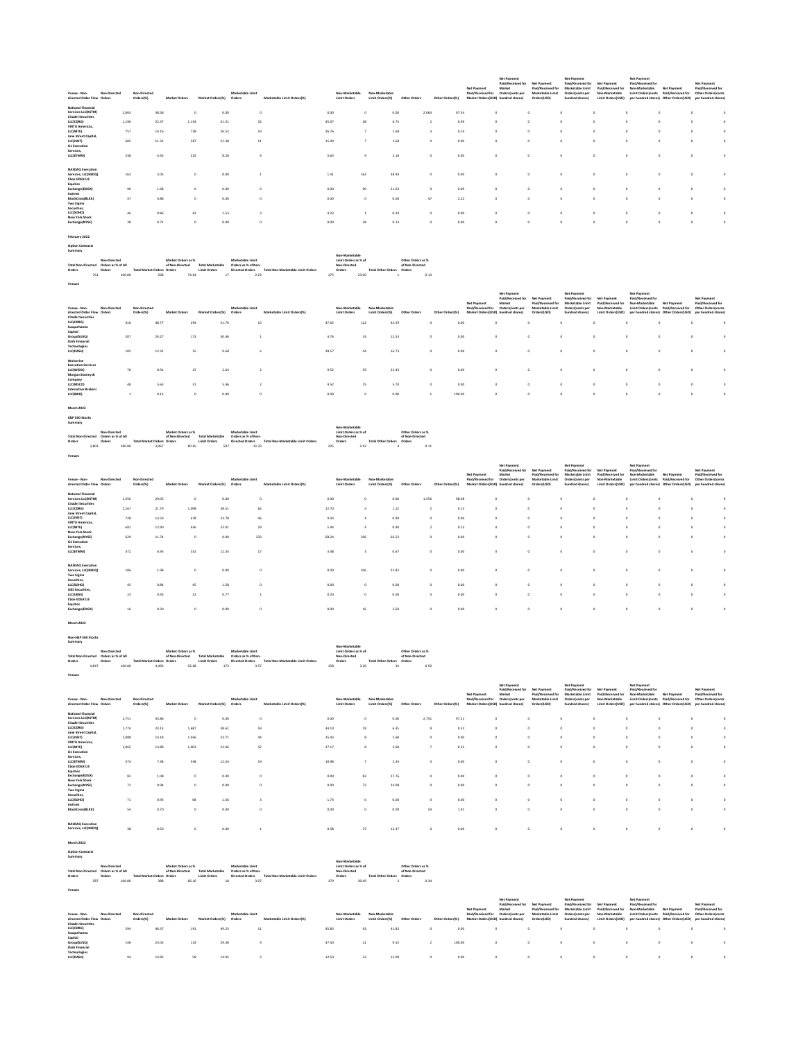|                                                                       |                                    |                                            |                                       |                                                      |                                         |                                   |                                                        |                                              |                                      |                                                    | Net Payment                                             | Net Payment<br>Paid/Received for<br>Market                       | Net Payment<br>Paid/Received for                         | Net Payment<br>Paid/Received for<br>Marketable Limit    | Net Payment<br>Paid/Received for                         | Net Payment<br>Paid/Received for<br>Non-Marketable | Net Payment                                                                                       | Net Payment<br>Paid/Received for                               |  |
|-----------------------------------------------------------------------|------------------------------------|--------------------------------------------|---------------------------------------|------------------------------------------------------|-----------------------------------------|-----------------------------------|--------------------------------------------------------|----------------------------------------------|--------------------------------------|----------------------------------------------------|---------------------------------------------------------|------------------------------------------------------------------|----------------------------------------------------------|---------------------------------------------------------|----------------------------------------------------------|----------------------------------------------------|---------------------------------------------------------------------------------------------------|----------------------------------------------------------------|--|
| Venue - Non-<br>directed Order Flow Orders                            | Non-Directed                       | Non-Directed<br>Orders(%)                  | <b>Market Orders</b>                  | Market Orders(%)                                     | Marketable Limit<br>Orders              | ketable Limit Orders(%)           | Non-Marketable<br><b>Limit Orders</b>                  | Non-Marketable<br>Limit Orders(%)            |                                      | Other Orders[%]                                    | Paid/Received for<br>Market Orders(USD)                 | Orders/cents per<br>hundred shares)                              | Marketable Limit<br>Orders(USD)                          | Orders(cents per<br>hundred shares)                     | Non-Marketable<br>Limit Orders(USD)                      | per hundred shares)                                | Limit Ordersfronts Paid/Roceived for<br>Other Orders(USD)                                         | Other Ordersfcents<br>per h<br>dred shares                     |  |
| National Financial<br>Services LLC(XSTM)<br><b>Citadel Securities</b> | 2,063                              | 38.58                                      |                                       | 0.00<br>$^{\circ}$                                   |                                         | $\circ$                           | 0.00                                                   | 0.00<br>$^{\circ}$                           | 2,063                                | 97.54                                              |                                                         | $\circ$                                                          |                                                          |                                                         | $\circ$                                                  |                                                    | $\circ$<br>$\circ$                                                                                |                                                                |  |
| LLC(CDRG)<br><b>VIRTU Americas</b>                                    | 1,196                              | 22.37                                      | 1,134                                 | 41.31                                                |                                         | 32                                | 45.07                                                  | 6.73<br>28                                   |                                      | 0.09<br>$\mathbf{2}$                               |                                                         | $\mathbf 0$                                                      |                                                          |                                                         | $\circ$                                                  |                                                    | $\circ$                                                                                           | $\circ$                                                        |  |
| LLC(NITE)<br><b>Jane Street Capital</b><br>LLC(JNST)                  | 757<br>605                         | 14.16<br>11.31                             |                                       | $728\,$<br>26.52<br>587<br>21.38                     |                                         | $^{\rm 19}$<br>$\bf{11}$          | 26.76<br>15.49                                         | 1.68<br>$\overline{\phantom{a}}$<br>1.68     |                                      | 0.14<br>$\overline{\mathbf{3}}$<br>$\circ$<br>0.00 |                                                         | $\circ$                                                          |                                                          |                                                         | $\circ$                                                  |                                                    | ٥                                                                                                 | $\circ$<br>$\circ$                                             |  |
| <b>G1</b> Execution<br>Services,<br>LLC(ETMM)                         | 238                                |                                            | 4.45                                  | 225<br>8.20                                          |                                         | $\ddot{a}$                        | 5.63                                                   |                                              |                                      | $\circ$<br>0.00                                    |                                                         |                                                                  | $\circ$                                                  |                                                         | $\circ$                                                  | $\circ$                                            | $\circ$<br>$\circ$                                                                                | $\circ$                                                        |  |
|                                                                       |                                    |                                            |                                       |                                                      |                                         |                                   |                                                        | $\,9$<br>2.16                                |                                      |                                                    |                                                         | $\circ$                                                          |                                                          |                                                         |                                                          |                                                    |                                                                                                   |                                                                |  |
| <b>NASDAO Executio</b><br>Services, LLC(NSDQ)<br>Choe EDGX US         | 163                                |                                            | 3.05                                  | 0.00<br>$\circ$                                      |                                         |                                   | 1.41                                                   | $162\,$<br>38.94                             |                                      | 0.00<br>$\circ$                                    |                                                         | $\circ$                                                          |                                                          |                                                         |                                                          |                                                    | o                                                                                                 | $\circ$                                                        |  |
| Equities<br>Exchange(EDGX)                                            | 90                                 |                                            | 1.68                                  | 0.00<br>$\circ$                                      |                                         | $\circ$                           | 0.00                                                   | 90<br>21.63                                  |                                      | $\circ$<br>0.00                                    |                                                         | $\circ$                                                          | $\circ$                                                  | $\circ$                                                 | $\circ$                                                  |                                                    | $\circ$<br>$\circ$                                                                                | $\circ$                                                        |  |
| Instinet<br>BlockCross(BLKX)                                          | 47                                 |                                            | 0.88                                  | 0.00<br>$\circ$                                      |                                         | o                                 | 0.00                                                   | $\circ$<br>0.00                              |                                      | $47\,$<br>2.22                                     |                                                         | $\circ$                                                          | ٥                                                        |                                                         | $\circ$                                                  |                                                    | $\circ$                                                                                           | $\circ$                                                        |  |
| Two Sigma<br>Securities,<br>LLC(SOHO)                                 | 46                                 |                                            | 0.86                                  | $42\,$<br>1.53                                       |                                         | $_{\rm 3}$                        | 4.23                                                   | $\,$ 1 $\,$<br>0.24                          |                                      | $\circ$<br>0.00                                    |                                                         | $\circ$                                                          | $\circ$                                                  | $\circ$                                                 | $\circ$                                                  | $\circ$                                            | $\circ$<br>$\circ$                                                                                | $\circ$                                                        |  |
| New York Stock<br>Exchange(NYSE)                                      | 38                                 |                                            | 0.71                                  | 0.00<br>$\circ$                                      |                                         | ٥                                 | 0.00                                                   | 38<br>9.13                                   |                                      | 0.00<br>$\circ$                                    |                                                         | $\circ$                                                          | $\circ$                                                  | $\circ$                                                 | $\circ$                                                  | $\circ$                                            | ٥<br>$\circ$                                                                                      | $\circ$                                                        |  |
| February 2022                                                         |                                    |                                            |                                       |                                                      |                                         |                                   |                                                        |                                              |                                      |                                                    |                                                         |                                                                  |                                                          |                                                         |                                                          |                                                    |                                                                                                   |                                                                |  |
| <b>Option Contracts</b><br>Summary                                    |                                    |                                            |                                       |                                                      |                                         |                                   |                                                        |                                              |                                      |                                                    |                                                         |                                                                  |                                                          |                                                         |                                                          |                                                    |                                                                                                   |                                                                |  |
| <b>Total Non-Directed</b>                                             | Non-Directed<br>Orders as % of All |                                            | Market Orders as %<br>of Non-Directed | <b>Total Marketable</b>                              | Marketable Limit<br>Orders as % of Non- |                                   | Non-Marketable<br>Limit Orders as % of<br>Non-Directed |                                              | Other Onlers as %<br>of Non-Directed |                                                    |                                                         |                                                                  |                                                          |                                                         |                                                          |                                                    |                                                                                                   |                                                                |  |
| Orders<br>Orders<br>761                                               | 100.00                             | <b>Total Market Orders Orders</b>          | 568<br>74.64                          | <b>Limit Orders</b><br>17                            | <b>Directed Orders</b><br>2.23          | Total Non-Marketable Limit Orders | Orders<br>175                                          | <b>Total Other Orders Orders</b><br>23.00    | 0.13                                 |                                                    |                                                         |                                                                  |                                                          |                                                         |                                                          |                                                    |                                                                                                   |                                                                |  |
| Venues                                                                |                                    |                                            |                                       |                                                      |                                         |                                   |                                                        |                                              |                                      |                                                    |                                                         |                                                                  |                                                          |                                                         |                                                          |                                                    |                                                                                                   |                                                                |  |
|                                                                       |                                    |                                            |                                       |                                                      |                                         |                                   |                                                        |                                              |                                      |                                                    |                                                         | Net Payment<br>Paid/Received for                                 | Net Payment                                              | Net Payment<br>Paid/Received for                        | Net Paymen                                               | Net Payment<br>Paid/Received for                   |                                                                                                   | Net Payment                                                    |  |
| Venue - Non-<br>directed Order Flow Orders                            | Non-Directed                       | Non-Directed<br>Orders(%)                  | Market Orders                         | Market Orders(%)                                     | Marketable Limit<br>Orders              | Marketable Limit Orders(%)        | Non-Marketable<br><b>Limit Orders</b>                  | Non-Marketable<br>Limit Orders(%)            |                                      | Other Orders[%]                                    | Net Payment<br>Paid/Received for                        | Market<br>Orders(cents per<br>Market Orders(USD) hundred shares) | Paid/Received for<br>Marketable Limit<br>rs(USD)<br>Orde | Marketable Limit<br>Orders(cents per<br>hundred shares) | Paid/Received for<br>Non-Marketable<br>Limit Orders(USD) | Non-Marketable<br>Limit Orders/cents               | <b>Net Payment</b><br>Paid/Received for<br>per hundred shares) Other Orders(USD)                  | Paid/Received for<br>Other Ordersfcents<br>per hundred shares) |  |
| <b>Citadel Securities</b><br>LLC(CDRG)                                | 416                                | 48.77                                      |                                       | 294<br>51.76                                         |                                         | 10                                | 47.62                                                  | 112<br>42.59                                 |                                      | 0.00                                               |                                                         |                                                                  |                                                          |                                                         |                                                          |                                                    |                                                                                                   |                                                                |  |
| Susquehanna<br>Capital<br>Group(SUSQ)                                 | 207                                | 24.27                                      |                                       | 173<br>30.46                                         |                                         | $\,$ 1 $\,$                       | 4.76                                                   | 33<br>12.55                                  |                                      | $\circ$<br>0.00                                    |                                                         | $\circ$                                                          | $\circ$                                                  | $\circ$                                                 | $\circ$                                                  | $\circ$                                            | $\circ$<br>$\circ$                                                                                | $\circ$                                                        |  |
| <b>Dash Financial</b><br>Technologies<br>LLC(DASH)                    | 105                                | 12.31                                      |                                       | SS.<br>9.68                                          |                                         | ĥ.                                | 28.57                                                  | 44<br>16.73                                  |                                      | $\circ$<br>0.00                                    |                                                         | $\circ$                                                          |                                                          |                                                         | $\circ$                                                  |                                                    | $\circ$<br>$\Omega$                                                                               | $\circ$                                                        |  |
| Wolverine                                                             |                                    |                                            |                                       |                                                      |                                         |                                   |                                                        |                                              |                                      |                                                    |                                                         |                                                                  |                                                          |                                                         |                                                          |                                                    |                                                                                                   |                                                                |  |
| <b>Execution Services</b><br>LLC(WEXX)<br>Morgan Stanley &            | 76                                 |                                            | 8.91                                  | 15<br>2.64                                           |                                         | $\mathbf{2}$                      | 9.52                                                   | 59<br>22.43                                  |                                      | $\circ$<br>0.00                                    |                                                         | $\mathbf 0$                                                      | $\circ$                                                  | $^{\circ}$                                              | $\circ$                                                  |                                                    | $\circ$<br>$\circ$                                                                                | $\circ$                                                        |  |
| Company<br>LLC(MSCO)                                                  | 48                                 |                                            | 5.63                                  | 31<br>5.46                                           |                                         | $\overline{2}$                    | 9.52                                                   | 15<br>5.70                                   |                                      | $\circ$<br>0.00                                    |                                                         | $\circ$                                                          | $\circ$                                                  | $\circ$                                                 | $\circ$                                                  | $\circ$                                            | $\circ$<br>$\circ$                                                                                | $\circ$                                                        |  |
| Interactive Broken<br>LLC(IBKR)                                       | $\,$ 1 $\,$                        |                                            | 0.12                                  | 0.00<br>$\circ$                                      |                                         | $\circ$                           | 0.00                                                   | $\circ$<br>0.00                              |                                      | 100.00<br>$\,$ 1                                   |                                                         | $\circ$                                                          | $\circ$                                                  | $\circ$                                                 | $\circ$                                                  |                                                    | ٥<br>$\circ$                                                                                      | $\circ$                                                        |  |
| <b>March 2022</b>                                                     |                                    |                                            |                                       |                                                      |                                         |                                   |                                                        |                                              |                                      |                                                    |                                                         |                                                                  |                                                          |                                                         |                                                          |                                                    |                                                                                                   |                                                                |  |
| S&P 500 Stocks<br>Summary                                             |                                    |                                            |                                       |                                                      |                                         |                                   |                                                        |                                              |                                      |                                                    |                                                         |                                                                  |                                                          |                                                         |                                                          |                                                    |                                                                                                   |                                                                |  |
| Total Non-Directed  Orders as % of All                                | Non-Directed                       |                                            | Market Orders as %                    | of Non-Directed Total Marketable                     | Marketable Limit<br>Orders as % of Non- |                                   | Non-Marketable<br>Limit Orders as % of<br>Non-Directed |                                              | Other Orders as %<br>of Non-Directed |                                                    |                                                         |                                                                  |                                                          |                                                         |                                                          |                                                    |                                                                                                   |                                                                |  |
| Orders<br>Orders<br>3,803                                             | 100.00                             | <b>Total Market Orders Orders</b><br>3,067 | 80.65                                 | <b>Limit Orders</b><br>507                           | <b>Directed Orders</b><br>13.33         | Total Non-Marketable Limit Orders | Orders<br>225                                          | <b>Total Other Orders Orders</b><br>5.92     | 0.11                                 |                                                    |                                                         |                                                                  |                                                          |                                                         |                                                          |                                                    |                                                                                                   |                                                                |  |
| Venues                                                                |                                    |                                            |                                       |                                                      |                                         |                                   |                                                        |                                              |                                      |                                                    |                                                         |                                                                  |                                                          |                                                         |                                                          |                                                    |                                                                                                   |                                                                |  |
|                                                                       |                                    |                                            |                                       |                                                      |                                         |                                   |                                                        |                                              |                                      |                                                    | Net Payment                                             | Net Payment<br>Paid/Received for<br>Market                       | Net Payment<br>Paid/Received for                         | Net Payment<br>Paid/Received for<br>Marketable Limit    | Net Payment<br>Paid/Received for                         | Net Payment<br>Paid/Received for<br>Non-Marketable | <b>Net Payment</b>                                                                                | Net Payment<br>Paid/Received for                               |  |
| ue - Non<br>directed Order Flow Orders                                |                                    | Orders(%)                                  |                                       | Market Orders(%)                                     | Orders                                  | Marketable Limit Orders(%)        | n.Marketah<br><b>Limit Orders</b>                      | Limit Orders(%)                              |                                      | ers(%)                                             | Paid/Received for<br>ers(USD                            |                                                                  | Marketable Limit<br>s(USD)                               | Orders(cer<br>its pe<br>undred shares)                  | Non-Marketakie<br>Limit Orders(USD)                      | Limit Orders(cent                                  | Paid/Received for<br>rs(USD)                                                                      | Other Orders(cents<br>fred shares)                             |  |
|                                                                       |                                    |                                            |                                       |                                                      |                                         |                                   |                                                        |                                              |                                      |                                                    |                                                         |                                                                  |                                                          |                                                         |                                                          |                                                    |                                                                                                   |                                                                |  |
| <b>National Fi</b>                                                    |                                    |                                            |                                       |                                                      |                                         |                                   |                                                        | $\Omega$                                     |                                      |                                                    |                                                         |                                                                  | $\Omega$                                                 |                                                         |                                                          |                                                    |                                                                                                   |                                                                |  |
| Services LLC(XSTM)<br><b>Citadel Securities</b><br>LLC(CDRG)          | 1.556<br>1,167                     | 29.05<br>21.79                             | 1,098                                 | 0.00<br>$\circ$<br>38.51                             |                                         | $\circ$<br>62                     | 0.00<br>12.70                                          | 0.00<br>1.12<br>5                            | 1.556                                | 98.98<br>0.13<br>$\mathbf{2}$                      |                                                         | $\circ$<br>$\circ$                                               | $\circ$                                                  |                                                         | $\circ$<br>$\circ$                                       |                                                    | $\circ$<br>$\circ$<br>$\circ$<br>٥                                                                | $\circ$<br>$\circ$                                             |  |
| Jane Street Capital,<br>LLC(JNST)<br><b>VIRTU Americas</b>            | 728                                | 13.59                                      |                                       | 678<br>23.78                                         |                                         | 46                                | 9.43                                                   | $\ddot{a}$<br>0.90                           |                                      | 0.00<br>$\circ$                                    |                                                         | $\mathbf 0$                                                      | $\circ$                                                  |                                                         | $\circ$                                                  | $\circ$                                            | $\circ$<br>۰                                                                                      | $\circ$                                                        |  |
| LLC(NITE)<br>New York Stock                                           | 691                                | 12.90                                      |                                       | 656<br>23.01                                         |                                         | 29                                | 5.94                                                   | 0.90                                         |                                      | $\overline{2}$<br>0.13                             |                                                         |                                                                  |                                                          |                                                         |                                                          |                                                    |                                                                                                   | $\circ$                                                        |  |
| Exchange(NYSE)<br><b>G1 Execution</b><br>Services,                    | 629                                | 11.74                                      |                                       | $\circ$<br>0.00                                      | 333                                     |                                   | 68.24                                                  | 296<br>66.52                                 |                                      | $\circ$<br>0.00                                    |                                                         | $\circ$                                                          | o                                                        |                                                         | $\circ$                                                  |                                                    | o<br>$\circ$                                                                                      | $\circ$                                                        |  |
| LLC(ETMM)                                                             | 372                                |                                            | 6.95                                  | 352<br>12.35                                         |                                         | 17                                | 3.48                                                   | $\overline{\mathbf{3}}$<br>0.67              |                                      | $\circ$<br>0.00                                    |                                                         | $\circ$                                                          | $\circ$                                                  |                                                         | $\circ$                                                  | $^{\circ}$                                         | $\circ$<br>$\circ$                                                                                | $\circ$                                                        |  |
| <b>NASDAO Execution</b><br>Services, LLC(NSDQ)                        | 106                                |                                            | 1.98                                  | 0.00<br>$\circ$                                      |                                         | o                                 | 0.00                                                   | 23.82<br>106                                 |                                      | $\circ$<br>0.00                                    |                                                         | $\circ$                                                          |                                                          |                                                         | $\circ$                                                  |                                                    | o                                                                                                 |                                                                |  |
| <b>Two Sigma</b>                                                      | 45                                 | 0.84                                       |                                       | 45<br>1.58                                           |                                         | $\circ$                           | 0.00                                                   | $\circ$<br>0.00                              |                                      | $\circ$<br>0.00                                    |                                                         | $\circ$                                                          | $\circ$                                                  | $\circ$                                                 | $\circ$                                                  | $\circ$                                            | $\circ$<br>$\circ$                                                                                | $\circ$                                                        |  |
| Securities,<br>LLC(SOHO)<br><b>UBS Securities</b><br>LLC(UBSS)        | $_{23}$                            |                                            | 0.43                                  | $_{\rm 22}$<br>0.77                                  |                                         | $\mathbf 1$                       | 0.20                                                   | $\circ$<br>0.00                              |                                      | $\circ$<br>0.00                                    |                                                         | $\circ$                                                          | o                                                        | $\circ$                                                 | $\circ$                                                  |                                                    | $\circ$<br>$\circ$                                                                                | $\circ$                                                        |  |
| Choe EDGX US<br>Equities<br>Exchange(EDGX)                            | 16                                 |                                            | 0.30                                  | 0.00<br>$\circ$                                      |                                         | ٥                                 | 0.00                                                   | 3.60<br>16                                   |                                      | $\circ$<br>0.00                                    |                                                         | $\circ$                                                          |                                                          |                                                         | $\circ$                                                  |                                                    | ٥                                                                                                 | $\circ$                                                        |  |
| March 2022                                                            |                                    |                                            |                                       |                                                      |                                         |                                   |                                                        |                                              |                                      |                                                    |                                                         |                                                                  |                                                          |                                                         |                                                          |                                                    |                                                                                                   |                                                                |  |
|                                                                       |                                    |                                            |                                       |                                                      |                                         |                                   |                                                        |                                              |                                      |                                                    |                                                         |                                                                  |                                                          |                                                         |                                                          |                                                    |                                                                                                   |                                                                |  |
| Non-S&P 500 Stocks<br>Summary                                         |                                    |                                            |                                       |                                                      |                                         |                                   | Non-Marketable                                         |                                              |                                      |                                                    |                                                         |                                                                  |                                                          |                                                         |                                                          |                                                    |                                                                                                   |                                                                |  |
| Total Non-Directed Orders as % of All                                 | Non-Directed                       | <b>Total Market Orders</b>                 | Market Orders as %                    | of Non-Directed Total Marketable                     | Marketable Limit<br>Orders as % of Non  | Total Non-Marketable Limit Or     | Limit Orders as % of<br>Non-Directed                   |                                              | Other Orders as %<br>of Non-Directed |                                                    |                                                         |                                                                  |                                                          |                                                         |                                                          |                                                    |                                                                                                   |                                                                |  |
| Orders<br>4,847                                                       | 100.00                             | 4,492                                      | Orders<br>92.68                       | <b>Limit Orders</b><br>173                           | <b>Directed Orders</b><br>3.57          |                                   | Orders<br>158                                          | <b>Total Other Orders</b><br>3.26            | Orders<br>24<br>0.50                 |                                                    |                                                         |                                                                  |                                                          |                                                         |                                                          |                                                    |                                                                                                   |                                                                |  |
| Venues                                                                |                                    |                                            |                                       |                                                      |                                         |                                   |                                                        |                                              |                                      |                                                    |                                                         |                                                                  |                                                          |                                                         |                                                          |                                                    |                                                                                                   |                                                                |  |
|                                                                       |                                    |                                            |                                       |                                                      |                                         |                                   |                                                        |                                              |                                      |                                                    | Net Payment                                             | Net Payment<br>Paid/Received for<br>Market                       | Net Payment<br>Paid/Received for                         | Net Payment<br>Paid/Received for<br>Marketable Limit    | <b>Net Payment</b><br>Paid/Received for                  | Net Payment<br>Paid/Received for<br>Non-Marketable | <b>Net Payment</b>                                                                                | Net Payment<br>Paid/Received for                               |  |
| Venue - Non-<br>directed Order Flow Orders                            | Non-Directed                       | Non-Directed<br>Orders(%)                  | <b>Market Orders</b>                  | Market Orders(%) Orders                              | Marketable Limit                        | Marketable Limit Orders(%)        | Non-Marketable<br><b>Limit Orders</b>                  | Non-Marketable<br>Limit Orders(%)            | Other Orders                         | Other Orders(%)                                    | Paid/Received for<br>Market Orders(USD) hundred shares) | Orders(cents per                                                 | Marketable Limit<br>Orders(USD)                          | Orders (cents per<br>hundred chares)                    | Non-Marketable<br>Limit Orders(USD)                      |                                                    | Limit Orders/cents Paid/Received for<br>per hundred shares) Other Orders(USD) per hundred shares) | Other Orders(cents                                             |  |
| <b>National Financial</b><br>Services LLC(XSTM)                       | 2,751                              | 35.86                                      |                                       | 0.00<br>$\circ$                                      |                                         | ٥                                 | 0.00                                                   | 0.00<br>٥                                    | 2,751                                | 97.21                                              |                                                         | $\circ$                                                          |                                                          |                                                         | $\circ$                                                  |                                                    | $\circ$<br>٥                                                                                      | $\circ$                                                        |  |
| <b>Citadel Securities</b><br>LLC(CDRG)<br>Jane Street Capital,        | 1,774                              | 23.13                                      | 1,687                                 | 38.61                                                |                                         | 59                                | 34.10                                                  | 19<br>6.35                                   |                                      | $\overline{9}$<br>0.32                             |                                                         | $\Omega$                                                         | o.                                                       |                                                         | $\theta$                                                 | $\Omega$                                           | $\mathfrak{o}$<br>$\circ$                                                                         | $\circ$                                                        |  |
| <b>LLCUNSTI</b><br><b>VIRTU Americas</b><br><b>LLC(NITE)</b>          | 1,088<br>1.065                     | 14.18<br>13.88                             | 1,036<br>1.003                        | 23.71<br>22.96                                       |                                         | 44<br>47                          | 25.43<br>27.17                                         | $\mathbf{8}$<br>2.68<br>$\mathbf{8}$<br>2.68 |                                      | $\circ$<br>0.00<br>$\overline{7}$<br>0.25          |                                                         | $\circ$<br>$\circ$                                               | $\circ$<br>$\circ$                                       | $\circ$<br>$\circ$                                      | $\circ$<br>$\circ$                                       | $\circ$<br>$\circ$                                 | o<br>$\circ$<br>$\circ$<br>$\circ$                                                                | $\circ$                                                        |  |
| <b>G1 Execution</b><br>Services,                                      |                                    |                                            |                                       |                                                      |                                         |                                   |                                                        |                                              |                                      |                                                    |                                                         |                                                                  |                                                          |                                                         |                                                          |                                                    |                                                                                                   | $\circ$                                                        |  |
| LLC(ETMM)<br>Choe EDGX US                                             | 574                                |                                            | 7.48                                  | 548<br>12.54                                         |                                         | $^{\rm 19}$                       | 10.98                                                  | 2.34<br>$\overline{z}$                       |                                      | $\circ$<br>0.00                                    |                                                         | $\circ$                                                          | $\circ$                                                  | $\circ$                                                 | $\circ$                                                  | $\circ$                                            | $\circ$<br>$\circ$                                                                                | $\circ$                                                        |  |
| Equities<br>Exchange(EDGX)<br><b>New York Stock</b>                   | 83                                 |                                            | 1.08                                  | 0.00<br>$\circ$                                      |                                         | $\circ$                           | 0.00                                                   | 83<br>27.76                                  |                                      | $\circ$<br>0.00                                    |                                                         | $\circ$                                                          | ٥                                                        | $\circ$                                                 | $\circ$                                                  | $\circ$                                            | $\circ$<br>$\circ$                                                                                | $\circ$                                                        |  |
| Exchange(NYSE)<br>Two Sigma<br>Securities,                            | $\scriptstyle\rm 72$               |                                            | 0.94                                  | 0.00<br>$\circ$                                      |                                         | $\circ$                           | 0.00                                                   | $\scriptstyle\rm 72$<br>24.08                |                                      | $\circ$<br>0.00                                    |                                                         | $\circ$                                                          | $\circ$                                                  | $\circ$                                                 | $\circ$                                                  | $\circ$                                            | $\circ$<br>$\circ$                                                                                | $\circ$                                                        |  |
| LLC(SOHO)<br>Instinet                                                 | 71                                 |                                            | 0.93                                  | 68<br>1.56                                           |                                         | $_{\rm 3}$                        | 1.73                                                   | $\circ$<br>0.00                              |                                      | $\circ$<br>0.00                                    |                                                         | $\circ$                                                          | $\circ$                                                  | $\circ$                                                 | $\circ$                                                  | $\circ$                                            | $\circ$<br>$\circ$                                                                                | $\circ$                                                        |  |
| BlockCross(BLKX)                                                      | 54                                 |                                            | 0.70                                  | 0.00<br>$\circ$                                      |                                         | $\circ$                           | 0.00                                                   | $\circ$<br>0.00                              |                                      | 54<br>1.91                                         |                                                         | $\circ$                                                          | $\circ$                                                  | $\circ$                                                 | $\circ$                                                  | $\circ$                                            | $\circ$<br>$\circ$                                                                                | $\circ$                                                        |  |
| NASDAO Execution<br>Services, LLC(NSDQ)                               | 38                                 |                                            | 0.50                                  | 0.00<br>$\circ$                                      |                                         | $\,$ 1                            | 0.58                                                   | 37<br>12.37                                  |                                      | $\circ$<br>0.00                                    |                                                         | $\mathfrak o$                                                    | $\circ$                                                  | $\circ$                                                 | $\circ$                                                  | $\circ$                                            | $\mathfrak o$<br>$\circ$                                                                          | $\circ$                                                        |  |
| March 2022                                                            |                                    |                                            |                                       |                                                      |                                         |                                   |                                                        |                                              |                                      |                                                    |                                                         |                                                                  |                                                          |                                                         |                                                          |                                                    |                                                                                                   |                                                                |  |
| <b>Option Contract</b><br>Summary                                     |                                    |                                            |                                       |                                                      |                                         |                                   |                                                        |                                              |                                      |                                                    |                                                         |                                                                  |                                                          |                                                         |                                                          |                                                    |                                                                                                   |                                                                |  |
| Total Non-Directed  Orders as % of All                                | Non-Directed                       |                                            | Market Orders as %                    | of Non-Directed Total Marketable Orders as % of Non- | Marketable Limit                        |                                   | Non-Marketable<br>Limit Orders as % of<br>Non-Directed |                                              | Other Orders as %<br>of Non-Directed |                                                    |                                                         |                                                                  |                                                          |                                                         |                                                          |                                                    |                                                                                                   |                                                                |  |

Teristics-Disconsister Manufacturing Manufacturing Manufacturing Manufacturing in the Construction of Descriptions.<br>Deliver-Disconsister (Manufacturing Descriptions) (Manufacturing Descriptions Deliver Manufacturing Descr

|                              |              |                      |                  |                  |                            |                |                 |              |                 |                                    | <b>Net Payment</b> |                    | <b>Net Payment</b>            |                   | Net Payment                                                                 |                                      |                    |  |
|------------------------------|--------------|----------------------|------------------|------------------|----------------------------|----------------|-----------------|--------------|-----------------|------------------------------------|--------------------|--------------------|-------------------------------|-------------------|-----------------------------------------------------------------------------|--------------------------------------|--------------------|--|
|                              |              |                      |                  |                  |                            |                |                 |              |                 |                                    | Paid/Received for  | <b>Net Payment</b> | Paid/Received for Net Payment |                   | Paid/Received for                                                           |                                      | Net Payment        |  |
|                              |              |                      |                  |                  |                            |                |                 |              |                 | Net Payment                        | Market             | Paid/Received for  | Marketable Limit              | Paid/Received for | Non-Marketable                                                              | <b>Net Payment</b>                   | Paid/Received for  |  |
| Venue - Non-<br>Non-Directed | Non-Directed |                      |                  | Marketable Limit |                            | Non-Marketable | Non-Marketable  |              |                 | Paid/Received for Orders/cents per |                    | Marketable Limit   | Orders(cents per              | Non-Marketable    |                                                                             | Limit Orders/cents Paid/Received for | Other Orders/cents |  |
| directed Order Flow Orders   | Orders(%)    | <b>Market Orders</b> | Market Orders(%) | Orders           | Marketable Limit Orders(%) | Limit Orders   | Limit Orders(%) | Other Orders | Other Orders(%) | Market Orders(USD) hundred shares) |                    | Orders(USD)        | hundred shares)               |                   | Limit Orders(USD) oer hundred shares) Other Orders(USD) per hundred shares) |                                      |                    |  |
| <b>Citadel Securities</b>    |              |                      |                  |                  |                            |                |                 |              |                 |                                    |                    |                    |                               |                   |                                                                             |                                      |                    |  |
| LLC(CDRG)                    | 294          | 46.37                | 191              | 49.23            | 11                         | 45.83          | 92              | 41.82        | 0.00            |                                    |                    |                    |                               |                   |                                                                             |                                      |                    |  |
| Susquehanna                  |              |                      |                  |                  |                            |                |                 |              |                 |                                    |                    |                    |                               |                   |                                                                             |                                      |                    |  |
| Capital                      |              |                      |                  |                  |                            |                |                 |              |                 |                                    |                    |                    |                               |                   |                                                                             |                                      |                    |  |
| Group(SUSQ)                  | 146          | 23.03                | 114              | 29.38            |                            | 37.50          | 21              | 9.55         | 100.00          |                                    |                    |                    |                               |                   |                                                                             |                                      |                    |  |
| <b>Dash Financial</b>        |              |                      |                  |                  |                            |                |                 |              |                 |                                    |                    |                    |                               |                   |                                                                             |                                      |                    |  |
| <b>Technologies</b>          |              |                      |                  |                  |                            |                |                 |              |                 |                                    |                    |                    |                               |                   |                                                                             |                                      |                    |  |
| LLC(DASH)                    | 94           | 14.83                | 58               | 14.95            |                            | 12.50          | 33              | 15.00        | 0.00            |                                    |                    |                    |                               |                   |                                                                             |                                      |                    |  |
|                              |              |                      |                  |                  |                            |                |                 |              |                 |                                    |                    |                    |                               |                   |                                                                             |                                      |                    |  |